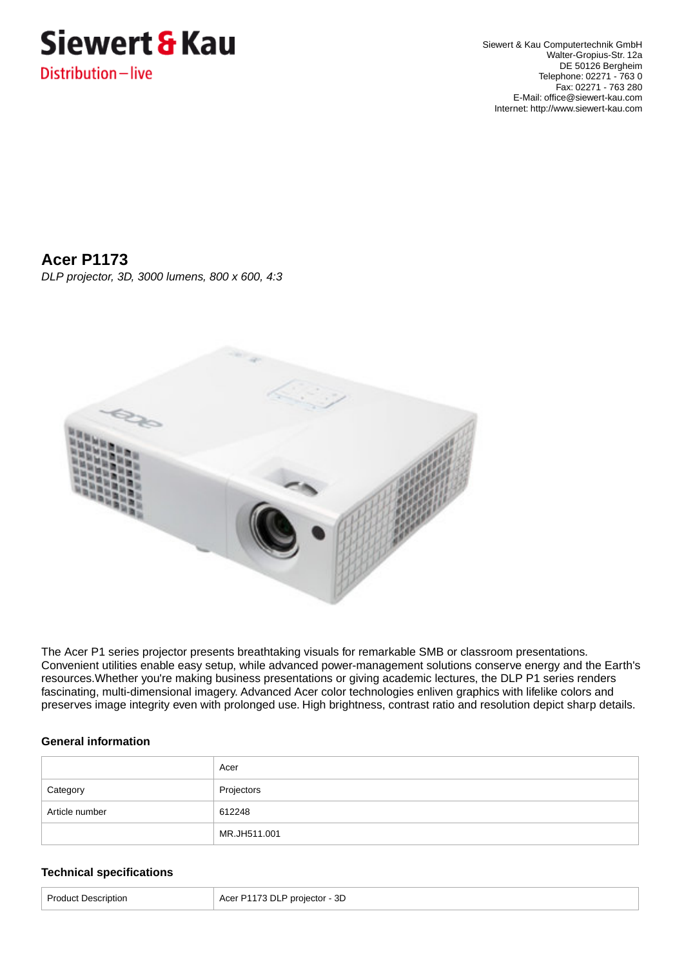

Siewert & Kau Computertechnik GmbH Walter-Gropius-Str. 12a DE 50126 Bergheim Telephone: 02271 - 763 0 Fax: 02271 - 763 280 E-Mail: office@siewert-kau.com Internet: http://www.siewert-kau.com

# **Acer P1173**

DLP projector, 3D, 3000 lumens, 800 x 600, 4:3



The Acer P1 series projector presents breathtaking visuals for remarkable SMB or classroom presentations. Convenient utilities enable easy setup, while advanced power-management solutions conserve energy and the Earth's resources.Whether you're making business presentations or giving academic lectures, the DLP P1 series renders fascinating, multi-dimensional imagery. Advanced Acer color technologies enliven graphics with lifelike colors and preserves image integrity even with prolonged use. High brightness, contrast ratio and resolution depict sharp details.

## **General information**

|                | Acer         |
|----------------|--------------|
| Category       | Projectors   |
| Article number | 612248       |
|                | MR.JH511.001 |

## **Technical specifications**

| 3D<br>Acer P1173 DLP projector - $2^{\circ}$<br>Dr∩<br>Description |  |
|--------------------------------------------------------------------|--|
|--------------------------------------------------------------------|--|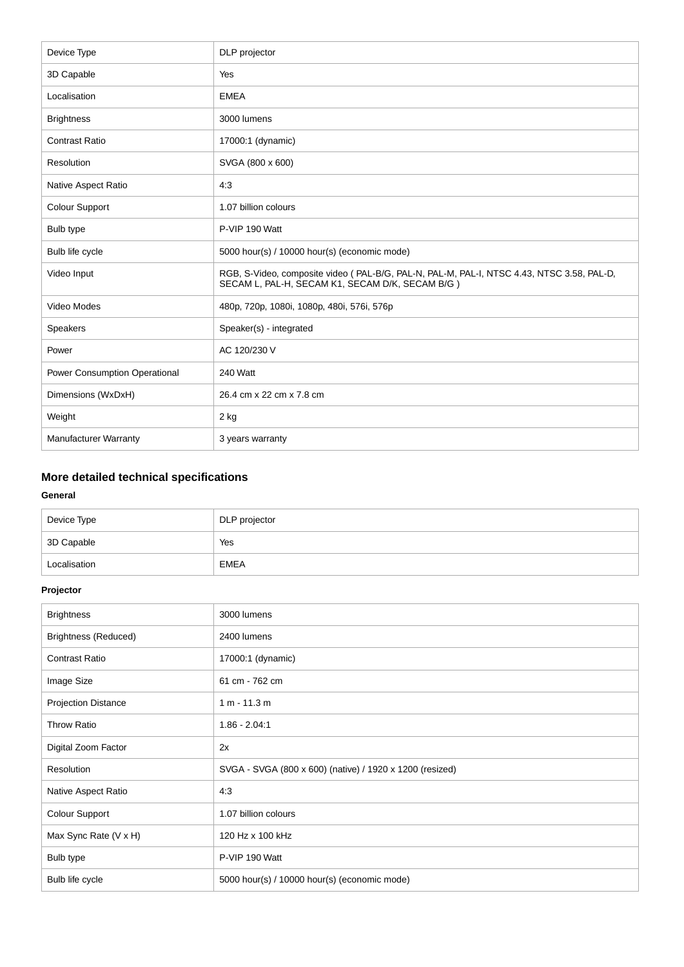| Device Type                   | DLP projector                                                                                                                                |
|-------------------------------|----------------------------------------------------------------------------------------------------------------------------------------------|
| 3D Capable                    | Yes                                                                                                                                          |
| Localisation                  | <b>EMEA</b>                                                                                                                                  |
| <b>Brightness</b>             | 3000 lumens                                                                                                                                  |
| <b>Contrast Ratio</b>         | 17000:1 (dynamic)                                                                                                                            |
| Resolution                    | SVGA (800 x 600)                                                                                                                             |
| <b>Native Aspect Ratio</b>    | 4:3                                                                                                                                          |
| <b>Colour Support</b>         | 1.07 billion colours                                                                                                                         |
| Bulb type                     | P-VIP 190 Watt                                                                                                                               |
| Bulb life cycle               | 5000 hour(s) / 10000 hour(s) (economic mode)                                                                                                 |
| Video Input                   | RGB, S-Video, composite video (PAL-B/G, PAL-N, PAL-M, PAL-I, NTSC 4.43, NTSC 3.58, PAL-D,<br>SECAM L, PAL-H, SECAM K1, SECAM D/K, SECAM B/G) |
| Video Modes                   | 480p, 720p, 1080i, 1080p, 480i, 576i, 576p                                                                                                   |
| Speakers                      | Speaker(s) - integrated                                                                                                                      |
| Power                         | AC 120/230 V                                                                                                                                 |
| Power Consumption Operational | 240 Watt                                                                                                                                     |
| Dimensions (WxDxH)            | 26.4 cm x 22 cm x 7.8 cm                                                                                                                     |
| Weight                        | 2 kg                                                                                                                                         |
| <b>Manufacturer Warranty</b>  | 3 years warranty                                                                                                                             |

## **More detailed technical specifications**

## **General**

| Device Type  | DLP projector |
|--------------|---------------|
| 3D Capable   | Yes           |
| Localisation | <b>EMEA</b>   |

## **Projector**

| <b>Brightness</b>           | 3000 lumens                                              |
|-----------------------------|----------------------------------------------------------|
| <b>Brightness (Reduced)</b> | 2400 lumens                                              |
| <b>Contrast Ratio</b>       | 17000:1 (dynamic)                                        |
| Image Size                  | 61 cm - 762 cm                                           |
| <b>Projection Distance</b>  | $1 m - 11.3 m$                                           |
| <b>Throw Ratio</b>          | $1.86 - 2.04:1$                                          |
| Digital Zoom Factor         | 2x                                                       |
| Resolution                  | SVGA - SVGA (800 x 600) (native) / 1920 x 1200 (resized) |
| Native Aspect Ratio         | 4:3                                                      |
| Colour Support              | 1.07 billion colours                                     |
| Max Sync Rate (V x H)       | 120 Hz x 100 kHz                                         |
| Bulb type                   | P-VIP 190 Watt                                           |
| Bulb life cycle             | 5000 hour(s) / 10000 hour(s) (economic mode)             |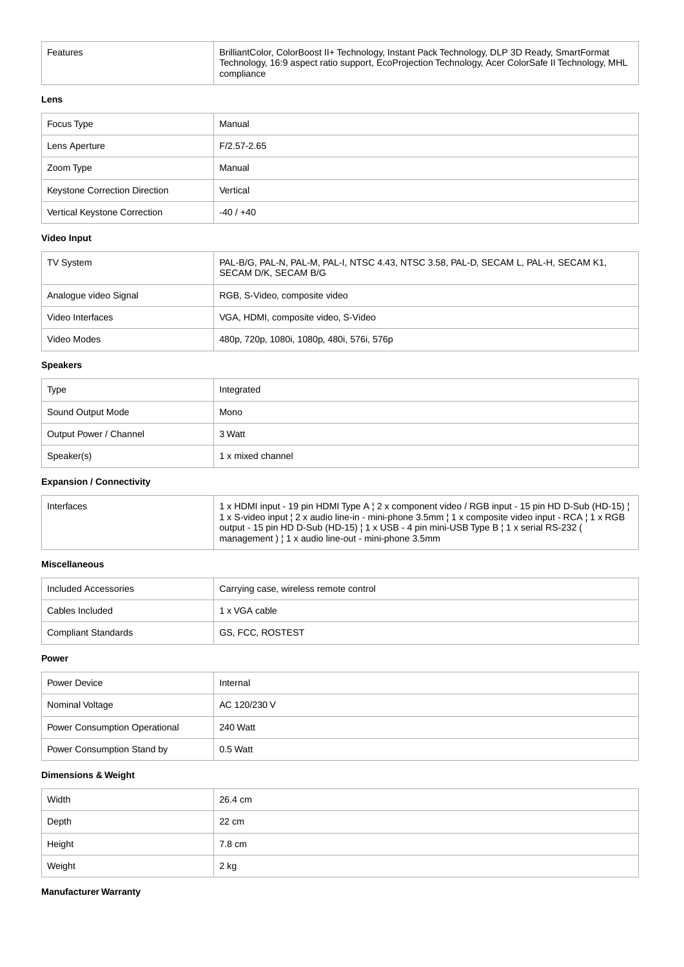| Features | BrilliantColor, ColorBoost II+ Technology, Instant Pack Technology, DLP 3D Ready, SmartFormat<br>Technology, 16:9 aspect ratio support, EcoProjection Technology, Acer ColorSafe II Technology, MHL<br>compliance |
|----------|-------------------------------------------------------------------------------------------------------------------------------------------------------------------------------------------------------------------|
|          |                                                                                                                                                                                                                   |

#### **Lens**

| Focus Type                    | Manual          |
|-------------------------------|-----------------|
| Lens Aperture                 | $F/2.57 - 2.65$ |
| Zoom Type                     | Manual          |
| Keystone Correction Direction | Vertical        |
| Vertical Keystone Correction  | $-40/+40$       |

## **Video Input**

| <b>TV System</b>      | PAL-B/G, PAL-N, PAL-M, PAL-I, NTSC 4.43, NTSC 3.58, PAL-D, SECAM L, PAL-H, SECAM K1,<br>SECAM D/K, SECAM B/G |
|-----------------------|--------------------------------------------------------------------------------------------------------------|
| Analogue video Signal | RGB, S-Video, composite video                                                                                |
| Video Interfaces      | VGA, HDMI, composite video, S-Video                                                                          |
| Video Modes           | 480p, 720p, 1080i, 1080p, 480i, 576i, 576p                                                                   |

#### **Speakers**

| Type                   | Integrated        |
|------------------------|-------------------|
| Sound Output Mode      | Mono              |
| Output Power / Channel | 3 Watt            |
| Speaker(s)             | 1 x mixed channel |

## **Expansion / Connectivity**

| Interfaces | 1 x HDMI input - 19 pin HDMI Type A   2 x component video / RGB input - 15 pin HD D-Sub (HD-15)  <br>1 x S-video input $2 \times$ audio line-in - mini-phone 3.5mm $1 \times$ composite video input - RCA $11 \times$ RGB<br>output - 15 pin HD D-Sub (HD-15)   1 x USB - 4 pin mini-USB Type B   1 x serial RS-232 (<br>management)   1 x audio line-out - mini-phone 3.5mm |
|------------|------------------------------------------------------------------------------------------------------------------------------------------------------------------------------------------------------------------------------------------------------------------------------------------------------------------------------------------------------------------------------|
|------------|------------------------------------------------------------------------------------------------------------------------------------------------------------------------------------------------------------------------------------------------------------------------------------------------------------------------------------------------------------------------------|

#### **Miscellaneous**

| Included Accessories | Carrying case, wireless remote control |
|----------------------|----------------------------------------|
| Cables Included      | 1 x VGA cable                          |
| Compliant Standards  | GS, FCC, ROSTEST                       |

#### **Power**

| Power Device                         | Internal     |
|--------------------------------------|--------------|
| Nominal Voltage                      | AC 120/230 V |
| <b>Power Consumption Operational</b> | 240 Watt     |
| Power Consumption Stand by           | $0.5$ Watt   |

## **Dimensions & Weight**

| Width  | 26.4 cm |
|--------|---------|
| Depth  | 22 cm   |
| Height | 7.8 cm  |
| Weight | 2 kg    |

#### **Manufacturer Warranty**